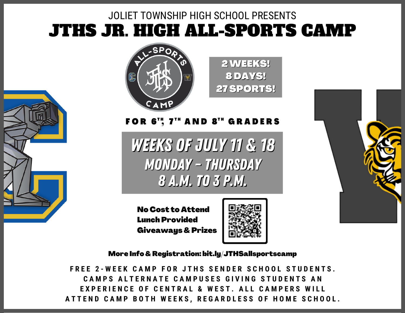## JTHS JR. HIGH ALL-SPORTS CAMP JOLIET TOWNSHIP HIGH SCHOOL PRESENTS





FOR 6'', 7'" AND 8'" GRADERS

Weeks of July 11 & 18 MonDAY – ThursDAY 8 a.m. to 3 p.m.

No Cost to Attend Lunch Provided Giveaways & Prizes



2WEEKS! 8 DAYS! 27 SPORTS!

More Info & Registration: bit.ly/JTHSallsportscamp

FREE 2-WEEK CAMP FOR JTHS SENDER SCHOOL STUDENTS CAMPS ALTERNATE CAMPUSES GIVING STUDENTS AN **FXPERIENCE OF CENTRAL & WEST ALL CAMPERS WILL** ATTEND CAMP BOTH WEEKS. REGARDLESS OF HOME SCHOOL.